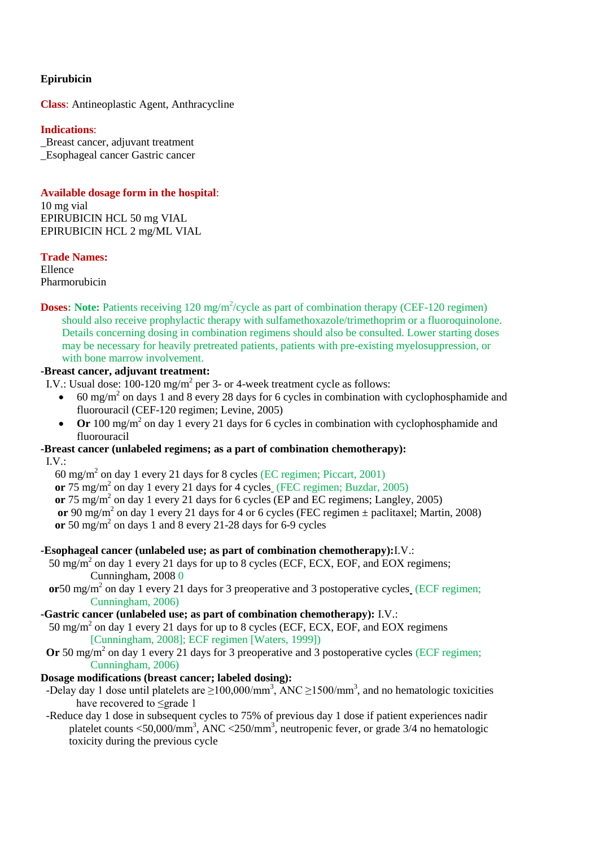#### **Epirubicin**

**Class**: Antineoplastic Agent, Anthracycline

#### **Indications**:

\_Breast cancer, adjuvant treatment \_Esophageal cancer Gastric cancer

**Available dosage form in the hospital**: 10 mg vial

EPIRUBICIN HCL 50 mg VIAL EPIRUBICIN HCL 2 mg/ML VIAL

#### **Trade Names:**

Ellence Pharmorubicin

**Doses:** Note: Patients receiving 120 mg/m<sup>2</sup>/cycle as part of combination therapy (CEF-120 regimen) should also receive prophylactic therapy with sulfamethoxazole/trimethoprim or a fluoroquinolone. Details concerning dosing in combination regimens should also be consulted. Lower starting doses may be necessary for heavily pretreated patients, patients with pre-existing myelosuppression, or with bone marrow involvement.

# **-Breast cancer, adjuvant treatment:**

- I.V.: Usual dose:  $100-120$  mg/m<sup>2</sup> per 3- or 4-week treatment cycle as follows:
	- $\cdot$  60 mg/m<sup>2</sup> on days 1 and 8 every 28 days for 6 cycles in combination with cyclophosphamide and fluorouracil (CEF-120 regimen; Levine, 2005)
	- Or 100 mg/m<sup>2</sup> on day 1 every 21 days for 6 cycles in combination with cyclophosphamide and fluorouracil

# **-Breast cancer (unlabeled regimens; as a part of combination chemotherapy):**

I.V.:

60 mg/m<sup>2</sup> on day 1 every 21 days for 8 cycles (EC regimen; Piccart, 2001) **or** 75 mg/m<sup>2</sup> on day 1 every 21 days for 4 cycles (FEC regimen; Buzdar, 2005) or 75 mg/m<sup>2</sup> on day 1 every 21 days for 6 cycles (EP and EC regimens; Langley, 2005) or 90 mg/m<sup>2</sup> on day 1 every 21 days for 4 or 6 cycles (FEC regimen  $\pm$  paclitaxel; Martin, 2008) or 50 mg/m<sup>2</sup> on days 1 and 8 every 21-28 days for 6-9 cycles

# **-Esophageal cancer (unlabeled use; as part of combination chemotherapy):**I.V.:

- 50 mg/m<sup>2</sup> on day 1 every 21 days for up to 8 cycles (ECF, ECX, EOF, and EOX regimens; Cunningham, 2008 0
- or 50 mg/m<sup>2</sup> on day 1 every 21 days for 3 preoperative and 3 postoperative cycles (ECF regimen; Cunningham, 2006)

# **-Gastric cancer (unlabeled use; as part of combination chemotherapy):** I.V.:

50 mg/m<sup>2</sup> on day 1 every 21 days for up to 8 cycles (ECF, ECX, EOF, and EOX regimens [Cunningham, 2008]; ECF regimen [Waters, 1999])

Or 50 mg/m<sup>2</sup> on day 1 every 21 days for 3 preoperative and 3 postoperative cycles (ECF regimen; Cunningham, 2006)

# **Dosage modifications (breast cancer; labeled dosing):**

- -Delay day 1 dose until platelets are  $\geq$ 100,000/mm<sup>3</sup>, ANC  $\geq$ 1500/mm<sup>3</sup>, and no hematologic toxicities have recovered to ≤grade 1
- -Reduce day 1 dose in subsequent cycles to 75% of previous day 1 dose if patient experiences nadir platelet counts <50,000/mm<sup>3</sup>, ANC <250/mm<sup>3</sup>, neutropenic fever, or grade 3/4 no hematologic toxicity during the previous cycle